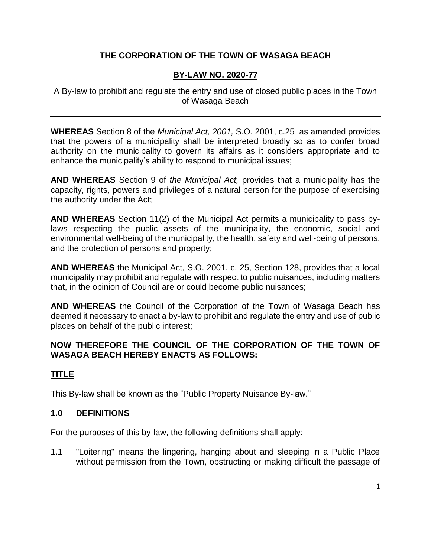# **THE CORPORATION OF THE TOWN OF WASAGA BEACH**

## **BY-LAW NO. 2020-77**

A By-law to prohibit and regulate the entry and use of closed public places in the Town of Wasaga Beach

**WHEREAS** Section 8 of the *Municipal Act, 2001,* S.O. 2001, c.25 as amended provides that the powers of a municipality shall be interpreted broadly so as to confer broad authority on the municipality to govern its affairs as it considers appropriate and to enhance the municipality's ability to respond to municipal issues;

**AND WHEREAS** Section 9 of *the Municipal Act,* provides that a municipality has the capacity, rights, powers and privileges of a natural person for the purpose of exercising the authority under the Act;

**AND WHEREAS** Section 11(2) of the Municipal Act permits a municipality to pass bylaws respecting the public assets of the municipality, the economic, social and environmental well-being of the municipality, the health, safety and well-being of persons, and the protection of persons and property;

**AND WHEREAS** the Municipal Act, S.O. 2001, c. 25, Section 128, provides that a local municipality may prohibit and regulate with respect to public nuisances, including matters that, in the opinion of Council are or could become public nuisances;

**AND WHEREAS** the Council of the Corporation of the Town of Wasaga Beach has deemed it necessary to enact a by-law to prohibit and regulate the entry and use of public places on behalf of the public interest;

## **NOW THEREFORE THE COUNCIL OF THE CORPORATION OF THE TOWN OF WASAGA BEACH HEREBY ENACTS AS FOLLOWS:**

# **TITLE**

This By-law shall be known as the "Public Property Nuisance By-law."

## **1.0 DEFINITIONS**

For the purposes of this by-law, the following definitions shall apply:

1.1 "Loitering" means the lingering, hanging about and sleeping in a Public Place without permission from the Town, obstructing or making difficult the passage of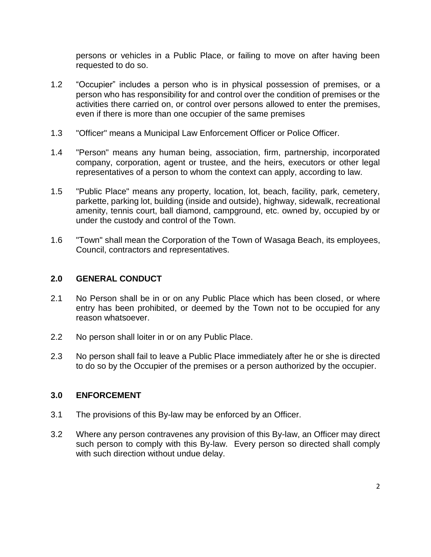persons or vehicles in a Public Place, or failing to move on after having been requested to do so.

- 1.2 "Occupier" includes a person who is in physical possession of premises, or a person who has responsibility for and control over the condition of premises or the activities there carried on, or control over persons allowed to enter the premises, even if there is more than one occupier of the same premises
- 1.3 "Officer" means a Municipal Law Enforcement Officer or Police Officer.
- 1.4 "Person" means any human being, association, firm, partnership, incorporated company, corporation, agent or trustee, and the heirs, executors or other legal representatives of a person to whom the context can apply, according to law.
- 1.5 "Public Place" means any property, location, lot, beach, facility, park, cemetery, parkette, parking lot, building (inside and outside), highway, sidewalk, recreational amenity, tennis court, ball diamond, campground, etc. owned by, occupied by or under the custody and control of the Town.
- 1.6 "Town" shall mean the Corporation of the Town of Wasaga Beach, its employees, Council, contractors and representatives.

#### **2.0 GENERAL CONDUCT**

- 2.1 No Person shall be in or on any Public Place which has been closed, or where entry has been prohibited, or deemed by the Town not to be occupied for any reason whatsoever.
- 2.2 No person shall loiter in or on any Public Place.
- 2.3 No person shall fail to leave a Public Place immediately after he or she is directed to do so by the Occupier of the premises or a person authorized by the occupier.

#### **3.0 ENFORCEMENT**

- 3.1 The provisions of this By-law may be enforced by an Officer.
- 3.2 Where any person contravenes any provision of this By-law, an Officer may direct such person to comply with this By-law. Every person so directed shall comply with such direction without undue delay.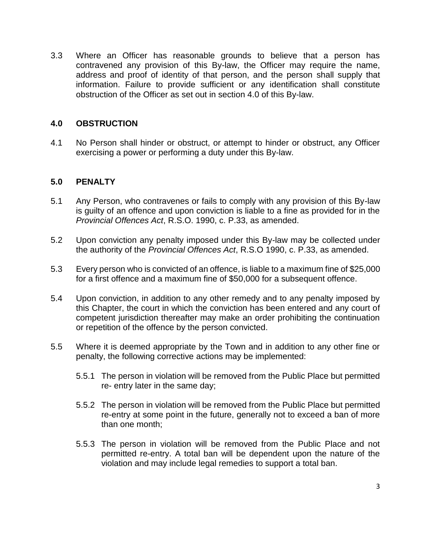3.3 Where an Officer has reasonable grounds to believe that a person has contravened any provision of this By-law, the Officer may require the name, address and proof of identity of that person, and the person shall supply that information. Failure to provide sufficient or any identification shall constitute obstruction of the Officer as set out in section 4.0 of this By-law.

#### **4.0 OBSTRUCTION**

4.1 No Person shall hinder or obstruct, or attempt to hinder or obstruct, any Officer exercising a power or performing a duty under this By-law.

### **5.0 PENALTY**

- 5.1 Any Person, who contravenes or fails to comply with any provision of this By-law is guilty of an offence and upon conviction is liable to a fine as provided for in the *Provincial Offences Act*, R.S.O. 1990, c. P.33, as amended.
- 5.2 Upon conviction any penalty imposed under this By-law may be collected under the authority of the *Provincial Offences Act*, R.S.O 1990, c. P.33, as amended.
- 5.3 Every person who is convicted of an offence, is liable to a maximum fine of \$25,000 for a first offence and a maximum fine of \$50,000 for a subsequent offence.
- 5.4 Upon conviction, in addition to any other remedy and to any penalty imposed by this Chapter, the court in which the conviction has been entered and any court of competent jurisdiction thereafter may make an order prohibiting the continuation or repetition of the offence by the person convicted.
- 5.5 Where it is deemed appropriate by the Town and in addition to any other fine or penalty, the following corrective actions may be implemented:
	- 5.5.1 The person in violation will be removed from the Public Place but permitted re- entry later in the same day;
	- 5.5.2 The person in violation will be removed from the Public Place but permitted re-entry at some point in the future, generally not to exceed a ban of more than one month;
	- 5.5.3 The person in violation will be removed from the Public Place and not permitted re-entry. A total ban will be dependent upon the nature of the violation and may include legal remedies to support a total ban.